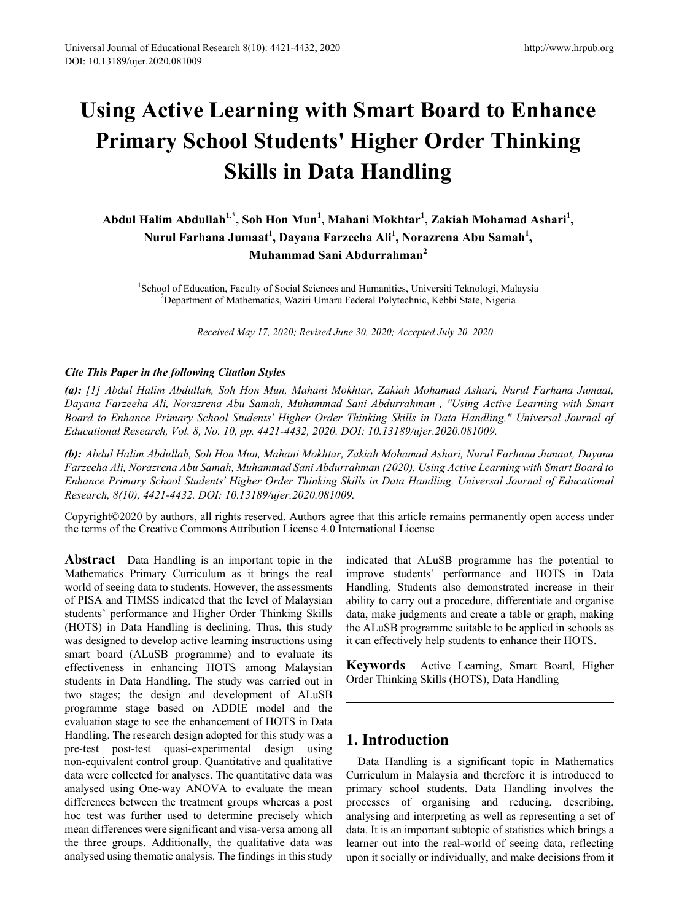# **Using Active Learning with Smart Board to Enhance Primary School Students' Higher Order Thinking Skills in Data Handling**

# **Abdul Halim Abdullah1,\*, Soh Hon Mun1 , Mahani Mokhtar<sup>1</sup> , Zakiah Mohamad Ashari<sup>1</sup> , Nurul Farhana Jumaat1 , Dayana Farzeeha Ali<sup>1</sup> , Norazrena Abu Samah<sup>1</sup> , Muhammad Sani Abdurrahman<sup>2</sup>**

<sup>1</sup>School of Education, Faculty of Social Sciences and Humanities, Universiti Teknologi, Malaysia<br><sup>2</sup>Department of Mathematics, Waziri Umaru Eederal Polytechnic, Kebbi State, Nigeria <sup>2</sup>Department of Mathematics, Waziri Umaru Federal Polytechnic, Kebbi State, Nigeria

*Received May 17, 2020; Revised June 30, 2020; Accepted July 20, 2020*

#### *Cite This Paper in the following Citation Styles*

*(a): [1] Abdul Halim Abdullah, Soh Hon Mun, Mahani Mokhtar, Zakiah Mohamad Ashari, Nurul Farhana Jumaat, Dayana Farzeeha Ali, Norazrena Abu Samah, Muhammad Sani Abdurrahman , "Using Active Learning with Smart Board to Enhance Primary School Students' Higher Order Thinking Skills in Data Handling," Universal Journal of Educational Research, Vol. 8, No. 10, pp. 4421-4432, 2020. DOI: 10.13189/ujer.2020.081009.* 

*(b): Abdul Halim Abdullah, Soh Hon Mun, Mahani Mokhtar, Zakiah Mohamad Ashari, Nurul Farhana Jumaat, Dayana Farzeeha Ali, Norazrena Abu Samah, Muhammad Sani Abdurrahman (2020). Using Active Learning with Smart Board to Enhance Primary School Students' Higher Order Thinking Skills in Data Handling. Universal Journal of Educational Research, 8(10), 4421-4432. DOI: 10.13189/ujer.2020.081009.* 

Copyright©2020 by authors, all rights reserved. Authors agree that this article remains permanently open access under the terms of the Creative Commons Attribution License 4.0 International License

**Abstract** Data Handling is an important topic in the Mathematics Primary Curriculum as it brings the real world of seeing data to students. However, the assessments of PISA and TIMSS indicated that the level of Malaysian students' performance and Higher Order Thinking Skills (HOTS) in Data Handling is declining. Thus, this study was designed to develop active learning instructions using smart board (ALuSB programme) and to evaluate its effectiveness in enhancing HOTS among Malaysian students in Data Handling. The study was carried out in two stages; the design and development of ALuSB programme stage based on ADDIE model and the evaluation stage to see the enhancement of HOTS in Data Handling. The research design adopted for this study was a pre-test post-test quasi-experimental design using non-equivalent control group. Quantitative and qualitative data were collected for analyses. The quantitative data was analysed using One-way ANOVA to evaluate the mean differences between the treatment groups whereas a post hoc test was further used to determine precisely which mean differences were significant and visa-versa among all the three groups. Additionally, the qualitative data was analysed using thematic analysis. The findings in this study

indicated that ALuSB programme has the potential to improve students' performance and HOTS in Data Handling. Students also demonstrated increase in their ability to carry out a procedure, differentiate and organise data, make judgments and create a table or graph, making the ALuSB programme suitable to be applied in schools as it can effectively help students to enhance their HOTS.

**Keywords** Active Learning, Smart Board, Higher Order Thinking Skills (HOTS), Data Handling

# **1. Introduction**

Data Handling is a significant topic in Mathematics Curriculum in Malaysia and therefore it is introduced to primary school students. Data Handling involves the processes of organising and reducing, describing, analysing and interpreting as well as representing a set of data. It is an important subtopic of statistics which brings a learner out into the real-world of seeing data, reflecting upon it socially or individually, and make decisions from it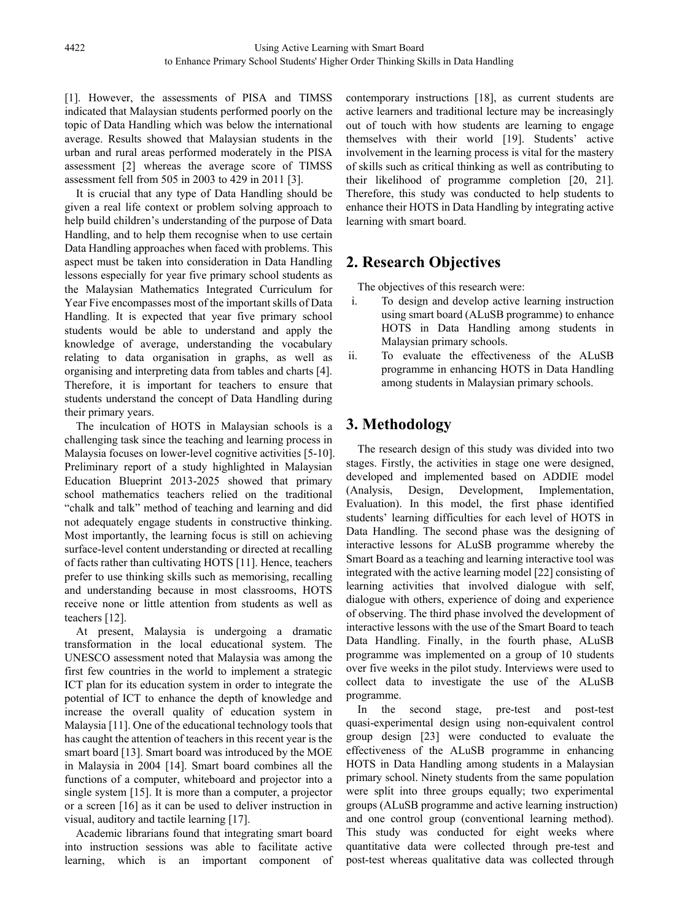[1]. However, the assessments of PISA and TIMSS indicated that Malaysian students performed poorly on the topic of Data Handling which was below the international average. Results showed that Malaysian students in the urban and rural areas performed moderately in the PISA assessment [2] whereas the average score of TIMSS assessment fell from 505 in 2003 to 429 in 2011 [3].

It is crucial that any type of Data Handling should be given a real life context or problem solving approach to help build children's understanding of the purpose of Data Handling, and to help them recognise when to use certain Data Handling approaches when faced with problems. This aspect must be taken into consideration in Data Handling lessons especially for year five primary school students as the Malaysian Mathematics Integrated Curriculum for Year Five encompasses most of the important skills of Data Handling. It is expected that year five primary school students would be able to understand and apply the knowledge of average, understanding the vocabulary relating to data organisation in graphs, as well as organising and interpreting data from tables and charts [4]. Therefore, it is important for teachers to ensure that students understand the concept of Data Handling during their primary years.

The inculcation of HOTS in Malaysian schools is a challenging task since the teaching and learning process in Malaysia focuses on lower-level cognitive activities [5-10]. Preliminary report of a study highlighted in Malaysian Education Blueprint 2013-2025 showed that primary school mathematics teachers relied on the traditional "chalk and talk" method of teaching and learning and did not adequately engage students in constructive thinking. Most importantly, the learning focus is still on achieving surface-level content understanding or directed at recalling of facts rather than cultivating HOTS [11]. Hence, teachers prefer to use thinking skills such as memorising, recalling and understanding because in most classrooms, HOTS receive none or little attention from students as well as teachers [12].

At present, Malaysia is undergoing a dramatic transformation in the local educational system. The UNESCO assessment noted that Malaysia was among the first few countries in the world to implement a strategic ICT plan for its education system in order to integrate the potential of ICT to enhance the depth of knowledge and increase the overall quality of education system in Malaysia [11]. One of the educational technology tools that has caught the attention of teachers in this recent year is the smart board [13]. Smart board was introduced by the MOE in Malaysia in 2004 [14]. Smart board combines all the functions of a computer, whiteboard and projector into a single system [15]. It is more than a computer, a projector or a screen [16] as it can be used to deliver instruction in visual, auditory and tactile learning [17].

Academic librarians found that integrating smart board into instruction sessions was able to facilitate active learning, which is an important component of contemporary instructions [18], as current students are active learners and traditional lecture may be increasingly out of touch with how students are learning to engage themselves with their world [19]. Students' active involvement in the learning process is vital for the mastery of skills such as critical thinking as well as contributing to their likelihood of programme completion [20, 21]. Therefore, this study was conducted to help students to enhance their HOTS in Data Handling by integrating active learning with smart board.

# **2. Research Objectives**

The objectives of this research were:

- i. To design and develop active learning instruction using smart board (ALuSB programme) to enhance HOTS in Data Handling among students in Malaysian primary schools.
- ii. To evaluate the effectiveness of the ALuSB programme in enhancing HOTS in Data Handling among students in Malaysian primary schools.

# **3. Methodology**

The research design of this study was divided into two stages. Firstly, the activities in stage one were designed, developed and implemented based on ADDIE model (Analysis, Design, Development, Implementation, Evaluation). In this model, the first phase identified students' learning difficulties for each level of HOTS in Data Handling. The second phase was the designing of interactive lessons for ALuSB programme whereby the Smart Board as a teaching and learning interactive tool was integrated with the active learning model [22] consisting of learning activities that involved dialogue with self, dialogue with others, experience of doing and experience of observing. The third phase involved the development of interactive lessons with the use of the Smart Board to teach Data Handling. Finally, in the fourth phase, ALuSB programme was implemented on a group of 10 students over five weeks in the pilot study. Interviews were used to collect data to investigate the use of the ALuSB programme.

In the second stage, pre-test and post-test quasi-experimental design using non-equivalent control group design [23] were conducted to evaluate the effectiveness of the ALuSB programme in enhancing HOTS in Data Handling among students in a Malaysian primary school. Ninety students from the same population were split into three groups equally; two experimental groups (ALuSB programme and active learning instruction) and one control group (conventional learning method). This study was conducted for eight weeks where quantitative data were collected through pre-test and post-test whereas qualitative data was collected through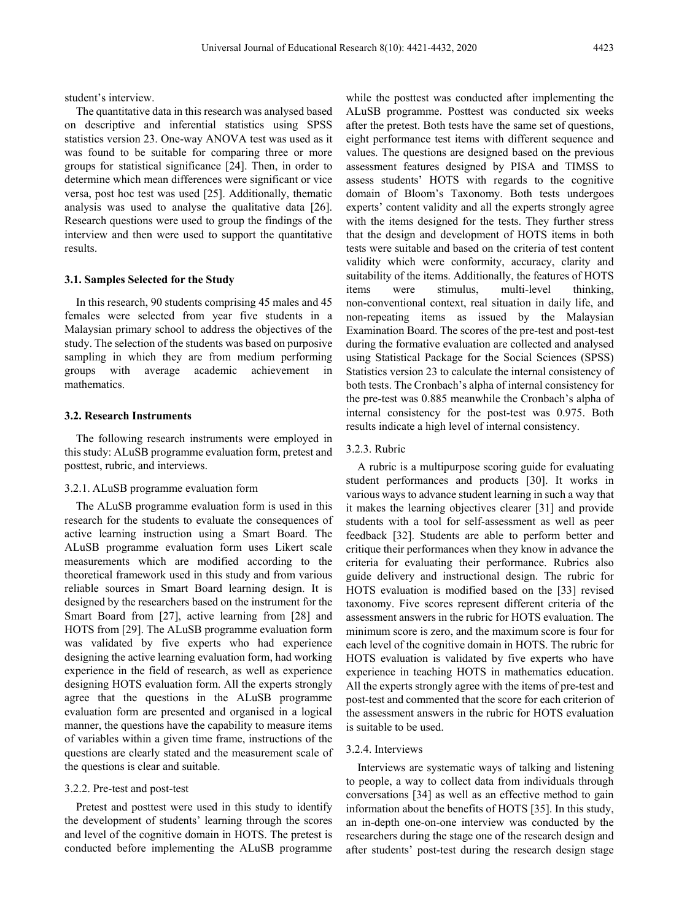student's interview.

The quantitative data in this research was analysed based on descriptive and inferential statistics using SPSS statistics version 23. One-way ANOVA test was used as it was found to be suitable for comparing three or more groups for statistical significance [24]. Then, in order to determine which mean differences were significant or vice versa, post hoc test was used [25]. Additionally, thematic analysis was used to analyse the qualitative data [26]. Research questions were used to group the findings of the interview and then were used to support the quantitative results.

#### **3.1. Samples Selected for the Study**

In this research, 90 students comprising 45 males and 45 females were selected from year five students in a Malaysian primary school to address the objectives of the study. The selection of the students was based on purposive sampling in which they are from medium performing groups with average academic achievement in mathematics.

#### **3.2. Research Instruments**

The following research instruments were employed in this study: ALuSB programme evaluation form, pretest and posttest, rubric, and interviews.

#### 3.2.1. ALuSB programme evaluation form

The ALuSB programme evaluation form is used in this research for the students to evaluate the consequences of active learning instruction using a Smart Board. The ALuSB programme evaluation form uses Likert scale measurements which are modified according to the theoretical framework used in this study and from various reliable sources in Smart Board learning design. It is designed by the researchers based on the instrument for the Smart Board from [27], active learning from [28] and HOTS from [29]. The ALuSB programme evaluation form was validated by five experts who had experience designing the active learning evaluation form, had working experience in the field of research, as well as experience designing HOTS evaluation form. All the experts strongly agree that the questions in the ALuSB programme evaluation form are presented and organised in a logical manner, the questions have the capability to measure items of variables within a given time frame, instructions of the questions are clearly stated and the measurement scale of the questions is clear and suitable.

#### 3.2.2. Pre-test and post-test

Pretest and posttest were used in this study to identify the development of students' learning through the scores and level of the cognitive domain in HOTS. The pretest is conducted before implementing the ALuSB programme

while the posttest was conducted after implementing the ALuSB programme. Posttest was conducted six weeks after the pretest. Both tests have the same set of questions, eight performance test items with different sequence and values. The questions are designed based on the previous assessment features designed by PISA and TIMSS to assess students' HOTS with regards to the cognitive domain of Bloom's Taxonomy. Both tests undergoes experts' content validity and all the experts strongly agree with the items designed for the tests. They further stress that the design and development of HOTS items in both tests were suitable and based on the criteria of test content validity which were conformity, accuracy, clarity and suitability of the items. Additionally, the features of HOTS items were stimulus, multi-level thinking, non-conventional context, real situation in daily life, and non-repeating items as issued by the Malaysian Examination Board. The scores of the pre-test and post-test during the formative evaluation are collected and analysed using Statistical Package for the Social Sciences (SPSS) Statistics version 23 to calculate the internal consistency of both tests. The Cronbach's alpha of internal consistency for the pre-test was 0.885 meanwhile the Cronbach's alpha of internal consistency for the post-test was 0.975. Both results indicate a high level of internal consistency.

#### 3.2.3. Rubric

A rubric is a multipurpose scoring guide for evaluating student performances and products [30]. It works in various ways to advance student learning in such a way that it makes the learning objectives clearer [31] and provide students with a tool for self-assessment as well as peer feedback [32]. Students are able to perform better and critique their performances when they know in advance the criteria for evaluating their performance. Rubrics also guide delivery and instructional design. The rubric for HOTS evaluation is modified based on the [33] revised taxonomy. Five scores represent different criteria of the assessment answers in the rubric for HOTS evaluation. The minimum score is zero, and the maximum score is four for each level of the cognitive domain in HOTS. The rubric for HOTS evaluation is validated by five experts who have experience in teaching HOTS in mathematics education. All the experts strongly agree with the items of pre-test and post-test and commented that the score for each criterion of the assessment answers in the rubric for HOTS evaluation is suitable to be used.

## 3.2.4. Interviews

Interviews are systematic ways of talking and listening to people, a way to collect data from individuals through conversations [34] as well as an effective method to gain information about the benefits of HOTS [35]. In this study, an in-depth one-on-one interview was conducted by the researchers during the stage one of the research design and after students' post-test during the research design stage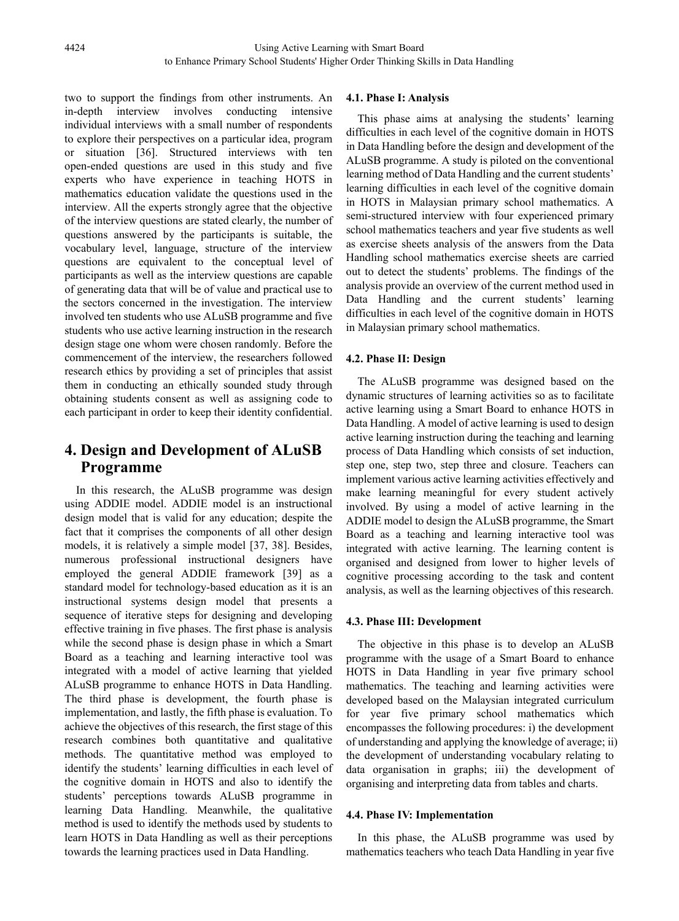two to support the findings from other instruments. An in-depth interview involves conducting intensive individual interviews with a small number of respondents to explore their perspectives on a particular idea, program or situation [36]. Structured interviews with ten open-ended questions are used in this study and five experts who have experience in teaching HOTS in mathematics education validate the questions used in the interview. All the experts strongly agree that the objective of the interview questions are stated clearly, the number of questions answered by the participants is suitable, the vocabulary level, language, structure of the interview questions are equivalent to the conceptual level of participants as well as the interview questions are capable of generating data that will be of value and practical use to the sectors concerned in the investigation. The interview involved ten students who use ALuSB programme and five students who use active learning instruction in the research design stage one whom were chosen randomly. Before the commencement of the interview, the researchers followed research ethics by providing a set of principles that assist them in conducting an ethically sounded study through obtaining students consent as well as assigning code to each participant in order to keep their identity confidential.

# **4. Design and Development of ALuSB Programme**

In this research, the ALuSB programme was design using ADDIE model. ADDIE model is an instructional design model that is valid for any education; despite the fact that it comprises the components of all other design models, it is relatively a simple model [37, 38]. Besides, numerous professional instructional designers have employed the general ADDIE framework [39] as a standard model for technology-based education as it is an instructional systems design model that presents a sequence of iterative steps for designing and developing effective training in five phases. The first phase is analysis while the second phase is design phase in which a Smart Board as a teaching and learning interactive tool was integrated with a model of active learning that yielded ALuSB programme to enhance HOTS in Data Handling. The third phase is development, the fourth phase is implementation, and lastly, the fifth phase is evaluation. To achieve the objectives of this research, the first stage of this research combines both quantitative and qualitative methods. The quantitative method was employed to identify the students' learning difficulties in each level of the cognitive domain in HOTS and also to identify the students' perceptions towards ALuSB programme in learning Data Handling. Meanwhile, the qualitative method is used to identify the methods used by students to learn HOTS in Data Handling as well as their perceptions towards the learning practices used in Data Handling.

#### **4.1. Phase I: Analysis**

This phase aims at analysing the students' learning difficulties in each level of the cognitive domain in HOTS in Data Handling before the design and development of the ALuSB programme. A study is piloted on the conventional learning method of Data Handling and the current students' learning difficulties in each level of the cognitive domain in HOTS in Malaysian primary school mathematics. A semi-structured interview with four experienced primary school mathematics teachers and year five students as well as exercise sheets analysis of the answers from the Data Handling school mathematics exercise sheets are carried out to detect the students' problems. The findings of the analysis provide an overview of the current method used in Data Handling and the current students' learning difficulties in each level of the cognitive domain in HOTS in Malaysian primary school mathematics.

#### **4.2. Phase II: Design**

The ALuSB programme was designed based on the dynamic structures of learning activities so as to facilitate active learning using a Smart Board to enhance HOTS in Data Handling. A model of active learning is used to design active learning instruction during the teaching and learning process of Data Handling which consists of set induction, step one, step two, step three and closure. Teachers can implement various active learning activities effectively and make learning meaningful for every student actively involved. By using a model of active learning in the ADDIE model to design the ALuSB programme, the Smart Board as a teaching and learning interactive tool was integrated with active learning. The learning content is organised and designed from lower to higher levels of cognitive processing according to the task and content analysis, as well as the learning objectives of this research.

#### **4.3. Phase III: Development**

The objective in this phase is to develop an ALuSB programme with the usage of a Smart Board to enhance HOTS in Data Handling in year five primary school mathematics. The teaching and learning activities were developed based on the Malaysian integrated curriculum for year five primary school mathematics which encompasses the following procedures: i) the development of understanding and applying the knowledge of average; ii) the development of understanding vocabulary relating to data organisation in graphs; iii) the development of organising and interpreting data from tables and charts.

#### **4.4. Phase IV: Implementation**

In this phase, the ALuSB programme was used by mathematics teachers who teach Data Handling in year five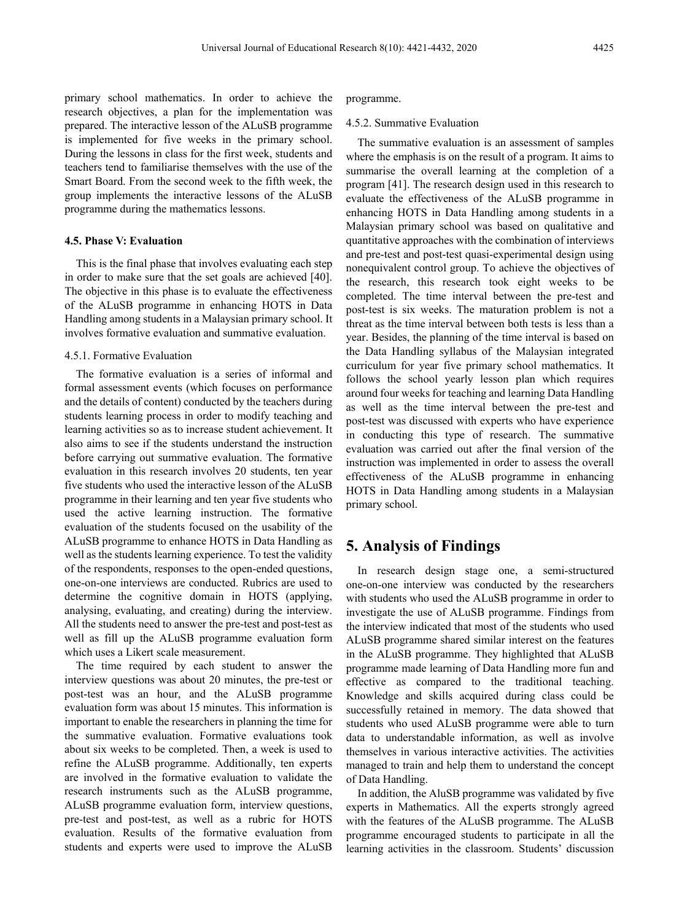primary school mathematics. In order to achieve the research objectives, a plan for the implementation was prepared. The interactive lesson of the ALuSB programme is implemented for five weeks in the primary school. During the lessons in class for the first week, students and teachers tend to familiarise themselves with the use of the Smart Board. From the second week to the fifth week, the group implements the interactive lessons of the ALuSB programme during the mathematics lessons.

#### **4.5. Phase V: Evaluation**

This is the final phase that involves evaluating each step in order to make sure that the set goals are achieved [40]. The objective in this phase is to evaluate the effectiveness of the ALuSB programme in enhancing HOTS in Data Handling among students in a Malaysian primary school. It involves formative evaluation and summative evaluation.

#### 4.5.1. Formative Evaluation

The formative evaluation is a series of informal and formal assessment events (which focuses on performance and the details of content) conducted by the teachers during students learning process in order to modify teaching and learning activities so as to increase student achievement. It also aims to see if the students understand the instruction before carrying out summative evaluation. The formative evaluation in this research involves 20 students, ten year five students who used the interactive lesson of the ALuSB programme in their learning and ten year five students who used the active learning instruction. The formative evaluation of the students focused on the usability of the ALuSB programme to enhance HOTS in Data Handling as well as the students learning experience. To test the validity of the respondents, responses to the open-ended questions, one-on-one interviews are conducted. Rubrics are used to determine the cognitive domain in HOTS (applying, analysing, evaluating, and creating) during the interview. All the students need to answer the pre-test and post-test as well as fill up the ALuSB programme evaluation form which uses a Likert scale measurement.

The time required by each student to answer the interview questions was about 20 minutes, the pre-test or post-test was an hour, and the ALuSB programme evaluation form was about 15 minutes. This information is important to enable the researchers in planning the time for the summative evaluation. Formative evaluations took about six weeks to be completed. Then, a week is used to refine the ALuSB programme. Additionally, ten experts are involved in the formative evaluation to validate the research instruments such as the ALuSB programme, ALuSB programme evaluation form, interview questions, pre-test and post-test, as well as a rubric for HOTS evaluation. Results of the formative evaluation from students and experts were used to improve the ALuSB

#### programme.

#### 4.5.2. Summative Evaluation

The summative evaluation is an assessment of samples where the emphasis is on the result of a program. It aims to summarise the overall learning at the completion of a program [41]. The research design used in this research to evaluate the effectiveness of the ALuSB programme in enhancing HOTS in Data Handling among students in a Malaysian primary school was based on qualitative and quantitative approaches with the combination of interviews and pre-test and post-test quasi-experimental design using nonequivalent control group. To achieve the objectives of the research, this research took eight weeks to be completed. The time interval between the pre-test and post-test is six weeks. The maturation problem is not a threat as the time interval between both tests is less than a year. Besides, the planning of the time interval is based on the Data Handling syllabus of the Malaysian integrated curriculum for year five primary school mathematics. It follows the school yearly lesson plan which requires around four weeks for teaching and learning Data Handling as well as the time interval between the pre-test and post-test was discussed with experts who have experience in conducting this type of research. The summative evaluation was carried out after the final version of the instruction was implemented in order to assess the overall effectiveness of the ALuSB programme in enhancing HOTS in Data Handling among students in a Malaysian primary school.

# **5. Analysis of Findings**

In research design stage one, a semi-structured one-on-one interview was conducted by the researchers with students who used the ALuSB programme in order to investigate the use of ALuSB programme. Findings from the interview indicated that most of the students who used ALuSB programme shared similar interest on the features in the ALuSB programme. They highlighted that ALuSB programme made learning of Data Handling more fun and effective as compared to the traditional teaching. Knowledge and skills acquired during class could be successfully retained in memory. The data showed that students who used ALuSB programme were able to turn data to understandable information, as well as involve themselves in various interactive activities. The activities managed to train and help them to understand the concept of Data Handling.

In addition, the AluSB programme was validated by five experts in Mathematics. All the experts strongly agreed with the features of the ALuSB programme. The ALuSB programme encouraged students to participate in all the learning activities in the classroom. Students' discussion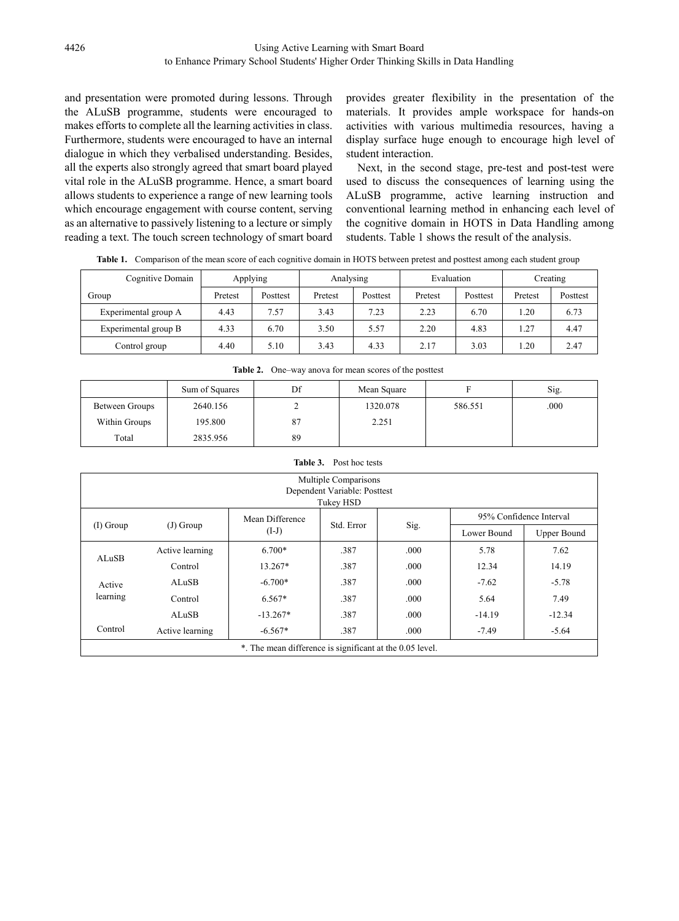and presentation were promoted during lessons. Through the ALuSB programme, students were encouraged to makes efforts to complete all the learning activities in class. Furthermore, students were encouraged to have an internal dialogue in which they verbalised understanding. Besides, all the experts also strongly agreed that smart board played vital role in the ALuSB programme. Hence, a smart board allows students to experience a range of new learning tools which encourage engagement with course content, serving as an alternative to passively listening to a lecture or simply reading a text. The touch screen technology of smart board provides greater flexibility in the presentation of the materials. It provides ample workspace for hands-on activities with various multimedia resources, having a display surface huge enough to encourage high level of student interaction.

Next, in the second stage, pre-test and post-test were used to discuss the consequences of learning using the ALuSB programme, active learning instruction and conventional learning method in enhancing each level of the cognitive domain in HOTS in Data Handling among students. Table 1 shows the result of the analysis.

**Table 1.** Comparison of the mean score of each cognitive domain in HOTS between pretest and posttest among each student group

| Cognitive Domain     | Applying |          | Analysing |          | Evaluation |          | Creating |          |
|----------------------|----------|----------|-----------|----------|------------|----------|----------|----------|
| Group                | Pretest  | Posttest | Pretest   | Posttest | Pretest    | Posttest | Pretest  | Posttest |
| Experimental group A | 4.43     | 7.57     | 3.43      | 7.23     | 2.23       | 6.70     | .20      | 6.73     |
| Experimental group B | 4.33     | 6.70     | 3.50      | 5.57     | 2.20       | 4.83     | 1.27     | 4.47     |
| Control group        | 4.40     | 5.10     | 3.43      | 4.33     | 2.17       | 3.03     | $\pm 20$ | 2.47     |

|                | Sum of Squares | Df | Mean Square |         | Sig. |
|----------------|----------------|----|-------------|---------|------|
| Between Groups | 2640.156       |    | 1320.078    | 586.551 | .000 |
| Within Groups  | 195.800        | 87 | 2.251       |         |      |
| Total          | 2835.956       | 89 |             |         |      |

**Table 2.** One–way anova for mean scores of the posttest

| Table 3. | Post hoc tests |  |
|----------|----------------|--|
|----------|----------------|--|

| Multiple Comparisons<br>Dependent Variable: Posttest<br>Tukey HSD |                 |                 |            |      |                         |                    |
|-------------------------------------------------------------------|-----------------|-----------------|------------|------|-------------------------|--------------------|
| (I) Group<br>$(J)$ Group                                          |                 | Mean Difference | Std. Error | Sig. | 95% Confidence Interval |                    |
|                                                                   |                 | $(I-J)$         |            |      | Lower Bound             | <b>Upper Bound</b> |
|                                                                   | Active learning | $6.700*$        | .387       | .000 | 5.78                    | 7.62               |
| ALuSB                                                             | Control         | 13.267*         | .387       | .000 | 12.34                   | 14.19              |
| Active                                                            | ALuSB           | $-6.700*$       | .387       | .000 | $-7.62$                 | $-5.78$            |
| learning                                                          | Control         | $6.567*$        | .387       | .000 | 5.64                    | 7.49               |
|                                                                   | ALuSB           | $-13.267*$      | .387       | .000 | $-14.19$                | $-12.34$           |
| Control                                                           | Active learning | $-6.567*$       | .387       | .000 | $-7.49$                 | $-5.64$            |
| *. The mean difference is significant at the 0.05 level.          |                 |                 |            |      |                         |                    |

\*. The mean difference is significant at the 0.05 level.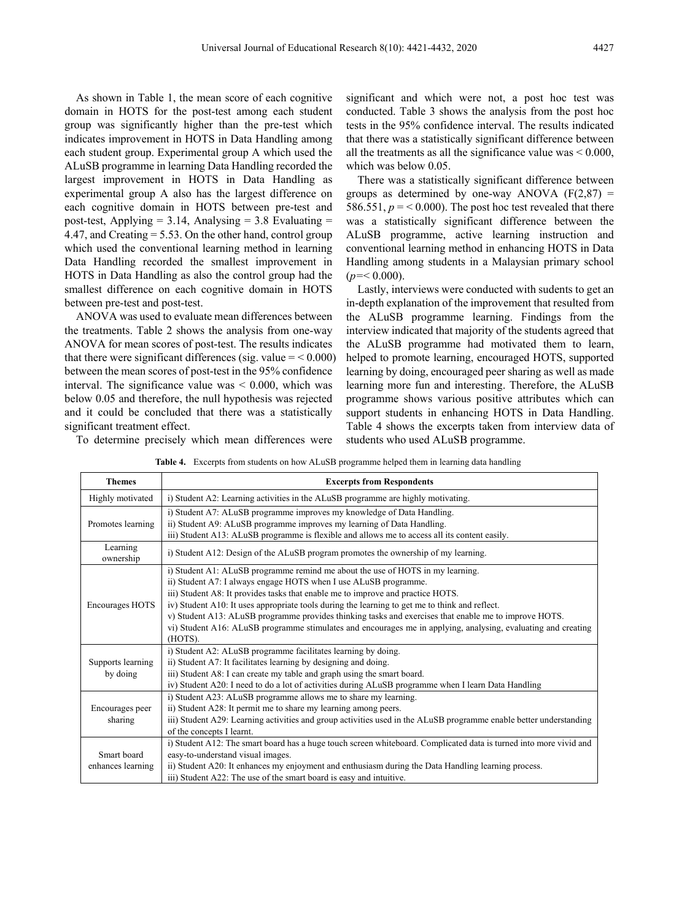As shown in Table 1, the mean score of each cognitive domain in HOTS for the post-test among each student group was significantly higher than the pre-test which indicates improvement in HOTS in Data Handling among each student group. Experimental group A which used the ALuSB programme in learning Data Handling recorded the largest improvement in HOTS in Data Handling as experimental group A also has the largest difference on each cognitive domain in HOTS between pre-test and post-test, Applying =  $3.14$ , Analysing =  $3.8$  Evaluating = 4.47, and Creating = 5.53. On the other hand, control group which used the conventional learning method in learning Data Handling recorded the smallest improvement in HOTS in Data Handling as also the control group had the smallest difference on each cognitive domain in HOTS between pre-test and post-test.

ANOVA was used to evaluate mean differences between the treatments. Table 2 shows the analysis from one-way ANOVA for mean scores of post-test. The results indicates that there were significant differences (sig. value  $=$  < 0.000) between the mean scores of post-test in the 95% confidence interval. The significance value was < 0.000, which was below 0.05 and therefore, the null hypothesis was rejected and it could be concluded that there was a statistically significant treatment effect.

To determine precisely which mean differences were

significant and which were not, a post hoc test was conducted. Table 3 shows the analysis from the post hoc tests in the 95% confidence interval. The results indicated that there was a statistically significant difference between all the treatments as all the significance value was < 0.000, which was below 0.05.

There was a statistically significant difference between groups as determined by one-way ANOVA  $(F(2,87)$  = 586.551,  $p = 0.000$ . The post hoc test revealed that there was a statistically significant difference between the ALuSB programme, active learning instruction and conventional learning method in enhancing HOTS in Data Handling among students in a Malaysian primary school (*p=*< 0.000).

Lastly, interviews were conducted with sudents to get an in-depth explanation of the improvement that resulted from the ALuSB programme learning. Findings from the interview indicated that majority of the students agreed that the ALuSB programme had motivated them to learn, helped to promote learning, encouraged HOTS, supported learning by doing, encouraged peer sharing as well as made learning more fun and interesting. Therefore, the ALuSB programme shows various positive attributes which can support students in enhancing HOTS in Data Handling. Table 4 shows the excerpts taken from interview data of students who used ALuSB programme.

**Table 4.** Excerpts from students on how ALuSB programme helped them in learning data handling

| <b>Themes</b>                    | <b>Excerpts from Respondents</b>                                                                                                                                                                                                                                                                                                                                                                                                                                                                                                                                             |
|----------------------------------|------------------------------------------------------------------------------------------------------------------------------------------------------------------------------------------------------------------------------------------------------------------------------------------------------------------------------------------------------------------------------------------------------------------------------------------------------------------------------------------------------------------------------------------------------------------------------|
| Highly motivated                 | i) Student A2: Learning activities in the ALuSB programme are highly motivating.                                                                                                                                                                                                                                                                                                                                                                                                                                                                                             |
| Promotes learning                | i) Student A7: ALuSB programme improves my knowledge of Data Handling.<br>ii) Student A9: ALuSB programme improves my learning of Data Handling.<br>iii) Student A13: ALuSB programme is flexible and allows me to access all its content easily.                                                                                                                                                                                                                                                                                                                            |
| Learning<br>ownership            | i) Student A12: Design of the ALuSB program promotes the ownership of my learning.                                                                                                                                                                                                                                                                                                                                                                                                                                                                                           |
| Encourages HOTS                  | i) Student A1: ALuSB programme remind me about the use of HOTS in my learning.<br>ii) Student A7: I always engage HOTS when I use ALuSB programme.<br>iii) Student A8: It provides tasks that enable me to improve and practice HOTS.<br>iv) Student A10: It uses appropriate tools during the learning to get me to think and reflect.<br>v) Student A13: ALuSB programme provides thinking tasks and exercises that enable me to improve HOTS.<br>vi) Student A16: ALuSB programme stimulates and encourages me in applying, analysing, evaluating and creating<br>(HOTS). |
| Supports learning<br>by doing    | i) Student A2: ALuSB programme facilitates learning by doing.<br>ii) Student A7: It facilitates learning by designing and doing.<br>iii) Student A8: I can create my table and graph using the smart board.<br>iv) Student A20: I need to do a lot of activities during ALuSB programme when I learn Data Handling                                                                                                                                                                                                                                                           |
| Encourages peer<br>sharing       | i) Student A23: ALuSB programme allows me to share my learning.<br>ii) Student A28: It permit me to share my learning among peers.<br>iii) Student A29: Learning activities and group activities used in the ALuSB programme enable better understanding<br>of the concepts I learnt.                                                                                                                                                                                                                                                                                        |
| Smart board<br>enhances learning | i) Student A12: The smart board has a huge touch screen whiteboard. Complicated data is turned into more vivid and<br>easy-to-understand visual images.<br>ii) Student A20: It enhances my enjoyment and enthusiasm during the Data Handling learning process.<br>iii) Student A22: The use of the smart board is easy and intuitive.                                                                                                                                                                                                                                        |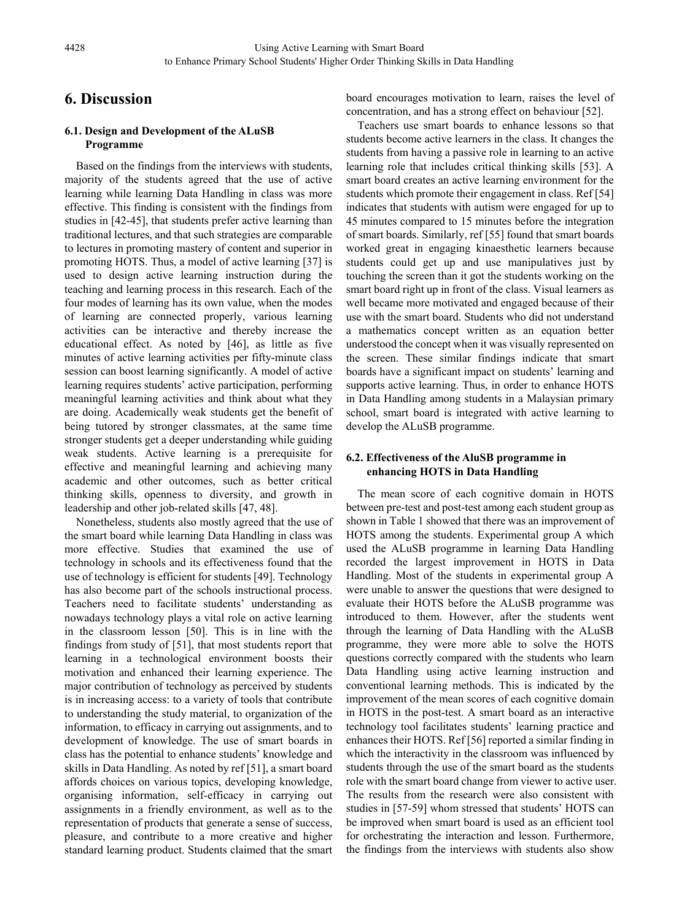# **6. Discussion**

## **6.1. Design and Development of the ALuSB Programme**

Based on the findings from the interviews with students, majority of the students agreed that the use of active learning while learning Data Handling in class was more effective. This finding is consistent with the findings from studies in [42-45], that students prefer active learning than traditional lectures, and that such strategies are comparable to lectures in promoting mastery of content and superior in promoting HOTS. Thus, a model of active learning [37] is used to design active learning instruction during the teaching and learning process in this research. Each of the four modes of learning has its own value, when the modes of learning are connected properly, various learning activities can be interactive and thereby increase the educational effect. As noted by [46], as little as five minutes of active learning activities per fifty-minute class session can boost learning significantly. A model of active learning requires students' active participation, performing meaningful learning activities and think about what they are doing. Academically weak students get the benefit of being tutored by stronger classmates, at the same time stronger students get a deeper understanding while guiding weak students. Active learning is a prerequisite for effective and meaningful learning and achieving many academic and other outcomes, such as better critical thinking skills, openness to diversity, and growth in leadership and other job-related skills [47, 48].

Nonetheless, students also mostly agreed that the use of the smart board while learning Data Handling in class was more effective. Studies that examined the use of technology in schools and its effectiveness found that the use of technology is efficient for students [49]. Technology has also become part of the schools instructional process. Teachers need to facilitate students' understanding as nowadays technology plays a vital role on active learning in the classroom lesson [50]. This is in line with the findings from study of [51], that most students report that learning in a technological environment boosts their motivation and enhanced their learning experience. The major contribution of technology as perceived by students is in increasing access: to a variety of tools that contribute to understanding the study material, to organization of the information, to efficacy in carrying out assignments, and to development of knowledge. The use of smart boards in class has the potential to enhance students' knowledge and skills in Data Handling. As noted by ref [51], a smart board affords choices on various topics, developing knowledge, organising information, self-efficacy in carrying out assignments in a friendly environment, as well as to the representation of products that generate a sense of success, pleasure, and contribute to a more creative and higher standard learning product. Students claimed that the smart

board encourages motivation to learn, raises the level of concentration, and has a strong effect on behaviour [52].

Teachers use smart boards to enhance lessons so that students become active learners in the class. It changes the students from having a passive role in learning to an active learning role that includes critical thinking skills [53]. A smart board creates an active learning environment for the students which promote their engagement in class. Ref [54] indicates that students with autism were engaged for up to 45 minutes compared to 15 minutes before the integration of smart boards. Similarly, ref [55] found that smart boards worked great in engaging kinaesthetic learners because students could get up and use manipulatives just by touching the screen than it got the students working on the smart board right up in front of the class. Visual learners as well became more motivated and engaged because of their use with the smart board. Students who did not understand a mathematics concept written as an equation better understood the concept when it was visually represented on the screen. These similar findings indicate that smart boards have a significant impact on students' learning and supports active learning. Thus, in order to enhance HOTS in Data Handling among students in a Malaysian primary school, smart board is integrated with active learning to develop the ALuSB programme.

## **6.2. Effectiveness of the AluSB programme in enhancing HOTS in Data Handling**

The mean score of each cognitive domain in HOTS between pre-test and post-test among each student group as shown in Table 1 showed that there was an improvement of HOTS among the students. Experimental group A which used the ALuSB programme in learning Data Handling recorded the largest improvement in HOTS in Data Handling. Most of the students in experimental group A were unable to answer the questions that were designed to evaluate their HOTS before the ALuSB programme was introduced to them. However, after the students went through the learning of Data Handling with the ALuSB programme, they were more able to solve the HOTS questions correctly compared with the students who learn Data Handling using active learning instruction and conventional learning methods. This is indicated by the improvement of the mean scores of each cognitive domain in HOTS in the post-test. A smart board as an interactive technology tool facilitates students' learning practice and enhances their HOTS. Ref [56] reported a similar finding in which the interactivity in the classroom was influenced by students through the use of the smart board as the students role with the smart board change from viewer to active user. The results from the research were also consistent with studies in [57-59] whom stressed that students' HOTS can be improved when smart board is used as an efficient tool for orchestrating the interaction and lesson. Furthermore, the findings from the interviews with students also show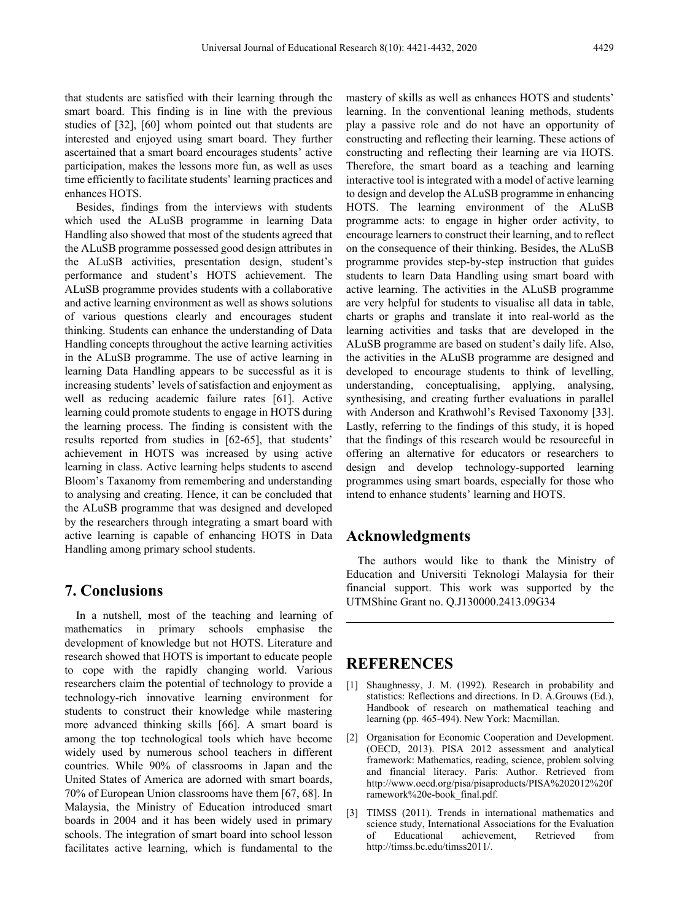that students are satisfied with their learning through the smart board. This finding is in line with the previous studies of [32], [60] whom pointed out that students are interested and enjoyed using smart board. They further ascertained that a smart board encourages students' active participation, makes the lessons more fun, as well as uses time efficiently to facilitate students' learning practices and enhances HOTS.

Besides, findings from the interviews with students which used the ALuSB programme in learning Data Handling also showed that most of the students agreed that the ALuSB programme possessed good design attributes in the ALuSB activities, presentation design, student's performance and student's HOTS achievement. The ALuSB programme provides students with a collaborative and active learning environment as well as shows solutions of various questions clearly and encourages student thinking. Students can enhance the understanding of Data Handling concepts throughout the active learning activities in the ALuSB programme. The use of active learning in learning Data Handling appears to be successful as it is increasing students' levels of satisfaction and enjoyment as well as reducing academic failure rates [61]. Active learning could promote students to engage in HOTS during the learning process. The finding is consistent with the results reported from studies in [62-65], that students' achievement in HOTS was increased by using active learning in class. Active learning helps students to ascend Bloom's Taxanomy from remembering and understanding to analysing and creating. Hence, it can be concluded that the ALuSB programme that was designed and developed by the researchers through integrating a smart board with active learning is capable of enhancing HOTS in Data Handling among primary school students.

# **7. Conclusions**

In a nutshell, most of the teaching and learning of mathematics in primary schools emphasise the development of knowledge but not HOTS. Literature and research showed that HOTS is important to educate people to cope with the rapidly changing world. Various researchers claim the potential of technology to provide a technology-rich innovative learning environment for students to construct their knowledge while mastering more advanced thinking skills [66]. A smart board is among the top technological tools which have become widely used by numerous school teachers in different countries. While 90% of classrooms in Japan and the United States of America are adorned with smart boards, 70% of European Union classrooms have them [67, 68]. In Malaysia, the Ministry of Education introduced smart boards in 2004 and it has been widely used in primary schools. The integration of smart board into school lesson facilitates active learning, which is fundamental to the

mastery of skills as well as enhances HOTS and students' learning. In the conventional leaning methods, students play a passive role and do not have an opportunity of constructing and reflecting their learning. These actions of constructing and reflecting their learning are via HOTS. Therefore, the smart board as a teaching and learning interactive tool is integrated with a model of active learning to design and develop the ALuSB programme in enhancing HOTS. The learning environment of the ALuSB programme acts: to engage in higher order activity, to encourage learners to construct their learning, and to reflect on the consequence of their thinking. Besides, the ALuSB programme provides step-by-step instruction that guides students to learn Data Handling using smart board with active learning. The activities in the ALuSB programme are very helpful for students to visualise all data in table, charts or graphs and translate it into real-world as the learning activities and tasks that are developed in the ALuSB programme are based on student's daily life. Also, the activities in the ALuSB programme are designed and developed to encourage students to think of levelling, understanding, conceptualising, applying, analysing, synthesising, and creating further evaluations in parallel with Anderson and Krathwohl's Revised Taxonomy [33]. Lastly, referring to the findings of this study, it is hoped that the findings of this research would be resourceful in offering an alternative for educators or researchers to design and develop technology-supported learning programmes using smart boards, especially for those who intend to enhance students' learning and HOTS.

## **Acknowledgments**

The authors would like to thank the Ministry of Education and Universiti Teknologi Malaysia for their financial support. This work was supported by the UTMShine Grant no. Q.J130000.2413.09G34

## **REFERENCES**

- [1] Shaughnessy, J. M. (1992). Research in probability and statistics: Reflections and directions. In D. A.Grouws (Ed.), Handbook of research on mathematical teaching and learning (pp. 465-494). New York: Macmillan.
- [2] Organisation for Economic Cooperation and Development. (OECD, 2013). PISA 2012 assessment and analytical framework: Mathematics, reading, science, problem solving and financial literacy. Paris: Author. Retrieved from http://www.oecd.org/pisa/pisaproducts/PISA%202012%20f ramework%20e-book\_final.pdf.
- [3] TIMSS (2011). Trends in international mathematics and science study, International Associations for the Evaluation<br>of Educational achievement. Retrieved from of Educational achievement, http://timss.bc.edu/timss2011/.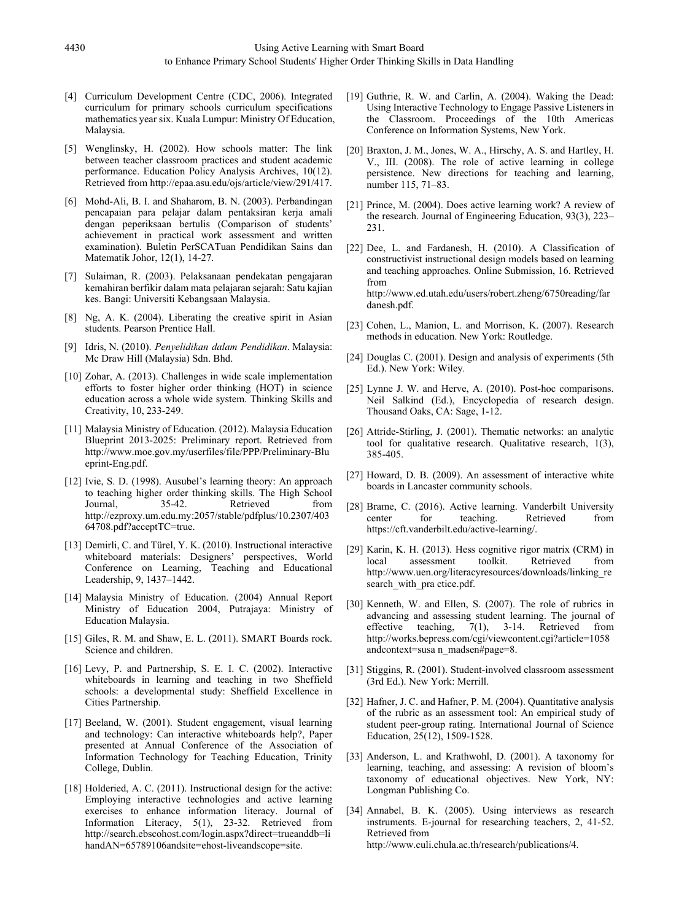- [4] Curriculum Development Centre (CDC, 2006). Integrated curriculum for primary schools curriculum specifications mathematics year six. Kuala Lumpur: Ministry Of Education, Malaysia.
- [5] Wenglinsky, H. (2002). How schools matter: The link between teacher classroom practices and student academic performance. Education Policy Analysis Archives, 10(12). Retrieved from http://epaa.asu.edu/ojs/article/view/291/417.
- [6] Mohd-Ali, B. I. and Shaharom, B. N. (2003). Perbandingan pencapaian para pelajar dalam pentaksiran kerja amali dengan peperiksaan bertulis (Comparison of students' achievement in practical work assessment and written examination). Buletin PerSCATuan Pendidikan Sains dan Matematik Johor, 12(1), 14-27.
- [7] Sulaiman, R. (2003). Pelaksanaan pendekatan pengajaran kemahiran berfikir dalam mata pelajaran sejarah: Satu kajian kes. Bangi: Universiti Kebangsaan Malaysia.
- [8] Ng, A. K. (2004). Liberating the creative spirit in Asian students. Pearson Prentice Hall.
- [9] Idris, N. (2010). *Penyelidikan dalam Pendidikan*. Malaysia: Mc Draw Hill (Malaysia) Sdn. Bhd.
- [10] Zohar, A. (2013). Challenges in wide scale implementation efforts to foster higher order thinking (HOT) in science education across a whole wide system. Thinking Skills and Creativity, 10, 233-249.
- [11] Malaysia Ministry of Education. (2012). Malaysia Education Blueprint 2013-2025: Preliminary report. Retrieved from http://www.moe.gov.my/userfiles/file/PPP/Preliminary-Blu eprint-Eng.pdf.
- [12] Ivie, S. D. (1998). Ausubel's learning theory: An approach to teaching higher order thinking skills. The High School<br>Journal. 35-42. Retrieved from Retrieved http://ezproxy.um.edu.my:2057/stable/pdfplus/10.2307/403 64708.pdf?acceptTC=true.
- [13] Demirli, C. and Türel, Y. K. (2010). Instructional interactive whiteboard materials: Designers' perspectives, World Conference on Learning, Teaching and Educational Leadership, 9, 1437–1442.
- [14] Malaysia Ministry of Education. (2004) Annual Report Ministry of Education 2004, Putrajaya: Ministry of Education Malaysia.
- [15] Giles, R. M. and Shaw, E. L. (2011). SMART Boards rock. Science and children.
- [16] Levy, P. and Partnership, S. E. I. C. (2002). Interactive whiteboards in learning and teaching in two Sheffield schools: a developmental study: Sheffield Excellence in Cities Partnership.
- [17] Beeland, W. (2001). Student engagement, visual learning and technology: Can interactive whiteboards help?, Paper presented at Annual Conference of the Association of Information Technology for Teaching Education, Trinity College, Dublin.
- [18] Holderied, A. C. (2011). Instructional design for the active: Employing interactive technologies and active learning exercises to enhance information literacy. Journal of Information Literacy, 5(1), 23-32. Retrieved from http://search.ebscohost.com/login.aspx?direct=trueanddb=li handAN=65789106andsite=ehost-liveandscope=site.
- [19] Guthrie, R. W. and Carlin, A. (2004). Waking the Dead: Using Interactive Technology to Engage Passive Listeners in the Classroom. Proceedings of the 10th Americas Conference on Information Systems, New York.
- [20] Braxton, J. M., Jones, W. A., Hirschy, A. S. and Hartley, H. V., III. (2008). The role of active learning in college persistence. New directions for teaching and learning, number 115, 71–83.
- [21] Prince, M. (2004). Does active learning work? A review of the research. Journal of Engineering Education, 93(3), 223– 231.
- [22] Dee, L. and Fardanesh, H. (2010). A Classification of constructivist instructional design models based on learning and teaching approaches. Online Submission, 16. Retrieved from http://www.ed.utah.edu/users/robert.zheng/6750reading/far danesh.pdf.
- [23] Cohen, L., Manion, L. and Morrison, K. (2007). Research methods in education. New York: Routledge.
- [24] Douglas C. (2001). Design and analysis of experiments (5th Ed.). New York: Wiley*.*
- [25] Lynne J. W. and Herve, A. (2010). Post-hoc comparisons. Neil Salkind (Ed.), Encyclopedia of research design. Thousand Oaks, CA: Sage, 1-12.
- [26] Attride-Stirling, J. (2001). Thematic networks: an analytic tool for qualitative research. Qualitative research, 1(3), 385-405.
- [27] Howard, D. B. (2009). An assessment of interactive white boards in Lancaster community schools.
- [28] Brame, C. (2016). Active learning. Vanderbilt University teaching. https://cft.vanderbilt.edu/active-learning/.
- [29] Karin, K. H. (2013). Hess cognitive rigor matrix (CRM) in local assessment toolkit. Retrieved from http://www.uen.org/literacyresources/downloads/linking\_re search with pra ctice.pdf.
- [30] Kenneth, W. and Ellen, S. (2007). The role of rubrics in advancing and assessing student learning. The journal of effective teaching, 7(1), 3-14. Retrieved from http://works.bepress.com/cgi/viewcontent.cgi?article=1058 andcontext=susa n\_madsen#page=8.
- [31] Stiggins, R. (2001). Student-involved classroom assessment (3rd Ed.). New York: Merrill.
- [32] Hafner, J. C. and Hafner, P. M. (2004). Quantitative analysis of the rubric as an assessment tool: An empirical study of student peer-group rating. International Journal of Science Education, 25(12), 1509-1528.
- [33] Anderson, L. and Krathwohl, D. (2001). A taxonomy for learning, teaching, and assessing: A revision of bloom's taxonomy of educational objectives. New York, NY: Longman Publishing Co.
- [34] Annabel, B. K. (2005). Using interviews as research instruments. E-journal for researching teachers, 2, 41-52. Retrieved from http://www.culi.chula.ac.th/research/publications/4.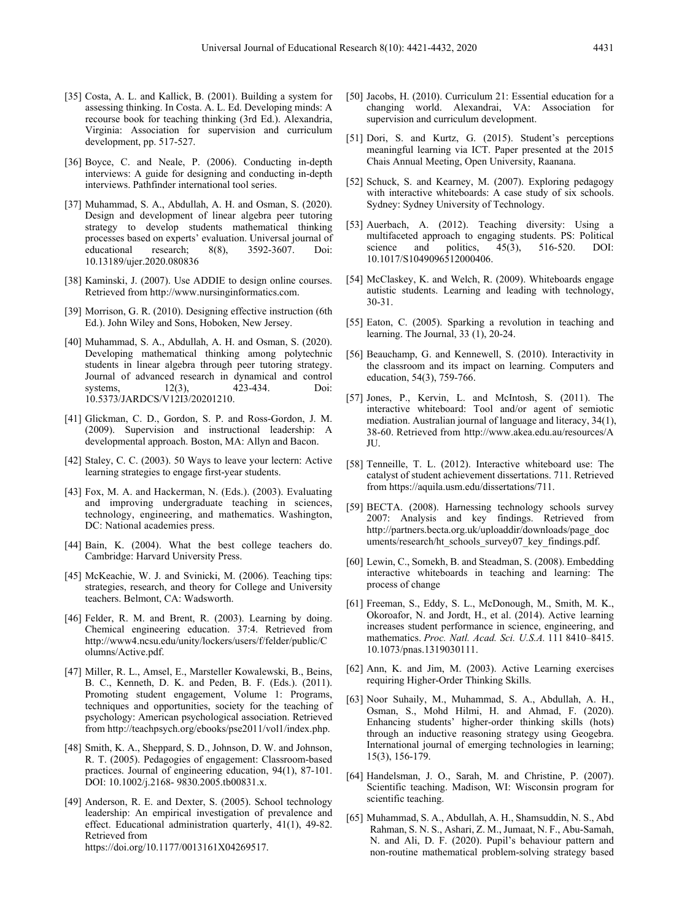- [35] Costa, A. L. and Kallick, B. (2001). Building a system for assessing thinking. In Costa. A. L. Ed. Developing minds: A recourse book for teaching thinking (3rd Ed.). Alexandria, Virginia: Association for supervision and curriculum development, pp. 517-527.
- [36] Boyce, C. and Neale, P. (2006). Conducting in-depth interviews: A guide for designing and conducting in-depth interviews. Pathfinder international tool series.
- [37] Muhammad, S. A., Abdullah, A. H. and Osman, S. (2020). Design and development of linear algebra peer tutoring strategy to develop students mathematical thinking processes based on experts' evaluation. Universal journal of<br>educational research;  $8(8)$ ,  $3592-3607$ . Doi: educational research;  $8(8)$ ,  $3592-3607$ . 10.13189/ujer.2020.080836
- [38] Kaminski, J. (2007). Use ADDIE to design online courses. Retrieved from http://www.nursinginformatics.com.
- [39] Morrison, G. R. (2010). Designing effective instruction (6th Ed.). John Wiley and Sons, Hoboken, New Jersey.
- [40] Muhammad, S. A., Abdullah, A. H. and Osman, S. (2020). Developing mathematical thinking among polytechnic students in linear algebra through peer tutoring strategy. Journal of advanced research in dynamical and control  $12(3)$ ,  $423-434$ . Doi: 10.5373/JARDCS/V12I3/20201210.
- [41] Glickman, C. D., Gordon, S. P. and Ross-Gordon, J. M. (2009). Supervision and instructional leadership: A developmental approach. Boston, MA: Allyn and Bacon.
- [42] Staley, C. C. (2003). 50 Ways to leave your lectern: Active learning strategies to engage first-year students.
- [43] Fox, M. A. and Hackerman, N. (Eds.). (2003). Evaluating and improving undergraduate teaching in sciences, technology, engineering, and mathematics. Washington, DC: National academies press.
- [44] Bain, K. (2004). What the best college teachers do. Cambridge: Harvard University Press.
- [45] McKeachie, W. J. and Svinicki, M. (2006). Teaching tips: strategies, research, and theory for College and University teachers. Belmont, CA: Wadsworth.
- [46] Felder, R. M. and Brent, R. (2003). Learning by doing. Chemical engineering education. 37:4. Retrieved from http://www4.ncsu.edu/unity/lockers/users/f/felder/public/C olumns/Active.pdf.
- [47] Miller, R. L., Amsel, E., Marsteller Kowalewski, B., Beins, B. C., Kenneth, D. K. and Peden, B. F. (Eds.). (2011). Promoting student engagement, Volume 1: Programs, techniques and opportunities, society for the teaching of psychology: American psychological association. Retrieved from http://teachpsych.org/ebooks/pse2011/vol1/index.php.
- [48] Smith, K. A., Sheppard, S. D., Johnson, D. W. and Johnson, R. T. (2005). Pedagogies of engagement: Classroom-based practices. Journal of engineering education, 94(1), 87-101. DOI: 10.1002/j.2168- 9830.2005.tb00831.x.
- [49] Anderson, R. E. and Dexter, S. (2005). School technology leadership: An empirical investigation of prevalence and effect. Educational administration quarterly, 41(1), 49-82. Retrieved from https://doi.org/10.1177/0013161X04269517.
- [50] Jacobs, H. (2010). Curriculum 21: Essential education for a changing world. Alexandrai, VA: Association for supervision and curriculum development.
- [51] Dori, S. and Kurtz, G. (2015). Student's perceptions meaningful learning via ICT. Paper presented at the 2015 Chais Annual Meeting, Open University, Raanana.
- [52] Schuck, S. and Kearney, M. (2007). Exploring pedagogy with interactive whiteboards: A case study of six schools. Sydney: Sydney University of Technology.
- [53] Auerbach, A. (2012). Teaching diversity: Using a multifaceted approach to engaging students. PS: Political science and politics, 45(3), 516-520. DOI: 10.1017/S1049096512000406.
- [54] McClaskey, K. and Welch, R. (2009). Whiteboards engage autistic students. Learning and leading with technology, 30-31.
- [55] Eaton, C. (2005). Sparking a revolution in teaching and learning. The Journal, 33 (1), 20-24.
- [56] Beauchamp, G. and Kennewell, S. (2010). Interactivity in the classroom and its impact on learning. Computers and education, 54(3), 759-766.
- [57] Jones, P., Kervin, L. and McIntosh, S. (2011). The interactive whiteboard: Tool and/or agent of semiotic mediation. Australian journal of language and literacy, 34(1), 38-60. Retrieved from http://www.akea.edu.au/resources/A JU.
- [58] Tenneille, T. L. (2012). Interactive whiteboard use: The catalyst of student achievement dissertations. 711. Retrieved from https://aquila.usm.edu/dissertations/711.
- [59] BECTA. (2008). Harnessing technology schools survey 2007: Analysis and key findings. Retrieved from http://partners.becta.org.uk/uploaddir/downloads/page\_doc uments/research/ht\_schools\_survey07\_key\_findings.pdf.
- [60] Lewin, C., Somekh, B. and Steadman, S. (2008). Embedding interactive whiteboards in teaching and learning: The process of change
- [61] Freeman, S., Eddy, S. L., McDonough, M., Smith, M. K., Okoroafor, N. and Jordt, H., et al. (2014). Active learning increases student performance in science, engineering, and mathematics. *Proc. Natl. Acad. Sci. U.S.A.* 111 8410–8415. 10.1073/pnas.1319030111.
- [62] Ann, K. and Jim, M. (2003). Active Learning exercises requiring Higher-Order Thinking Skills.
- [63] Noor Suhaily, M., Muhammad, S. A., Abdullah, A. H., Osman, S., Mohd Hilmi, H. and Ahmad, F. (2020). Enhancing students' higher-order thinking skills (hots) through an inductive reasoning strategy using Geogebra. International journal of emerging technologies in learning; 15(3), 156-179.
- [64] Handelsman, J. O., Sarah, M. and Christine, P. (2007). Scientific teaching. Madison, WI: Wisconsin program for scientific teaching.
- [65] Muhammad, S. A., Abdullah, A. H., Shamsuddin, N. S., Abd Rahman, S. N. S., Ashari, Z. M., Jumaat, N. F., Abu-Samah, N. and Ali, D. F. (2020). Pupil's behaviour pattern and non-routine mathematical problem-solving strategy based